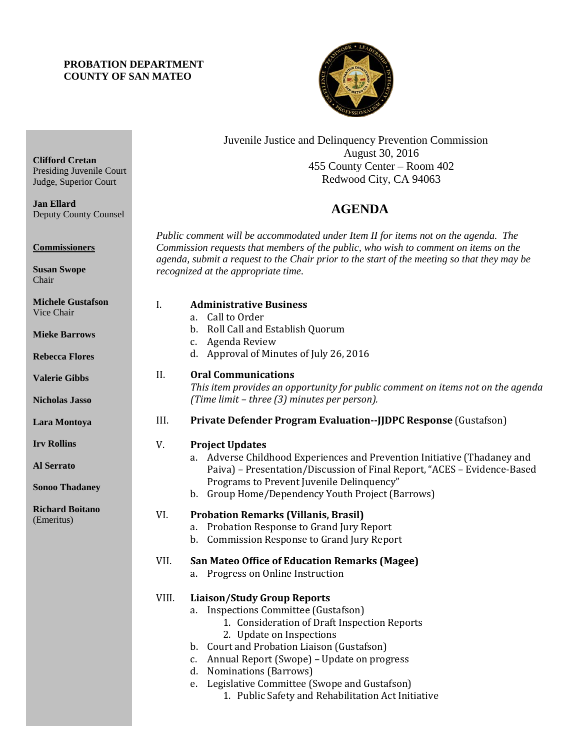## **PROBATION DEPARTMENT COUNTY OF SAN MATEO**

**Clifford Cretan**

**Commissioners**

**Susan Swope** Chair

**Jan Ellard**

Presiding Juvenile Court Judge, Superior Court

Deputy County Counsel



Juvenile Justice and Delinquency Prevention Commission August 30, 2016 455 County Center – Room 402 Redwood City, CA 94063

## **AGENDA**

*Public comment will be accommodated under Item II for items not on the agenda. The Commission requests that members of the public, who wish to comment on items on the agenda, submit a request to the Chair prior to the start of the meeting so that they may be recognized at the appropriate time.* 

| <b>Michele Gustafson</b><br>Vice Chair<br><b>Mieke Barrows</b><br><b>Rebecca Flores</b> | I.    | <b>Administrative Business</b><br>Call to Order<br>a.<br>b. Roll Call and Establish Quorum<br>c. Agenda Review<br>d. Approval of Minutes of July 26, 2016                                                                                                                                                                                                                                 |
|-----------------------------------------------------------------------------------------|-------|-------------------------------------------------------------------------------------------------------------------------------------------------------------------------------------------------------------------------------------------------------------------------------------------------------------------------------------------------------------------------------------------|
| <b>Valerie Gibbs</b><br><b>Nicholas Jasso</b>                                           | II.   | <b>Oral Communications</b><br>This item provides an opportunity for public comment on items not on the agenda<br>(Time limit - three (3) minutes per person).                                                                                                                                                                                                                             |
| Lara Montoya                                                                            | III.  | Private Defender Program Evaluation--JJDPC Response (Gustafson)                                                                                                                                                                                                                                                                                                                           |
| <b>Irv Rollins</b>                                                                      | V.    | <b>Project Updates</b>                                                                                                                                                                                                                                                                                                                                                                    |
| <b>Al Serrato</b><br><b>Sonoo Thadaney</b>                                              |       | a. Adverse Childhood Experiences and Prevention Initiative (Thadaney and<br>Paiva) - Presentation/Discussion of Final Report, "ACES - Evidence-Based<br>Programs to Prevent Juvenile Delinquency"<br>b. Group Home/Dependency Youth Project (Barrows)                                                                                                                                     |
| <b>Richard Boitano</b><br>(Emeritus)                                                    | VI.   | <b>Probation Remarks (Villanis, Brasil)</b><br>a. Probation Response to Grand Jury Report<br>b. Commission Response to Grand Jury Report                                                                                                                                                                                                                                                  |
|                                                                                         | VII.  | <b>San Mateo Office of Education Remarks (Magee)</b><br>Progress on Online Instruction<br>a.                                                                                                                                                                                                                                                                                              |
|                                                                                         | VIII. | <b>Liaison/Study Group Reports</b><br>a. Inspections Committee (Gustafson)<br>1. Consideration of Draft Inspection Reports<br>2. Update on Inspections<br>b. Court and Probation Liaison (Gustafson)<br>c. Annual Report (Swope) - Update on progress<br>d. Nominations (Barrows)<br>e. Legislative Committee (Swope and Gustafson)<br>1. Public Safety and Rehabilitation Act Initiative |